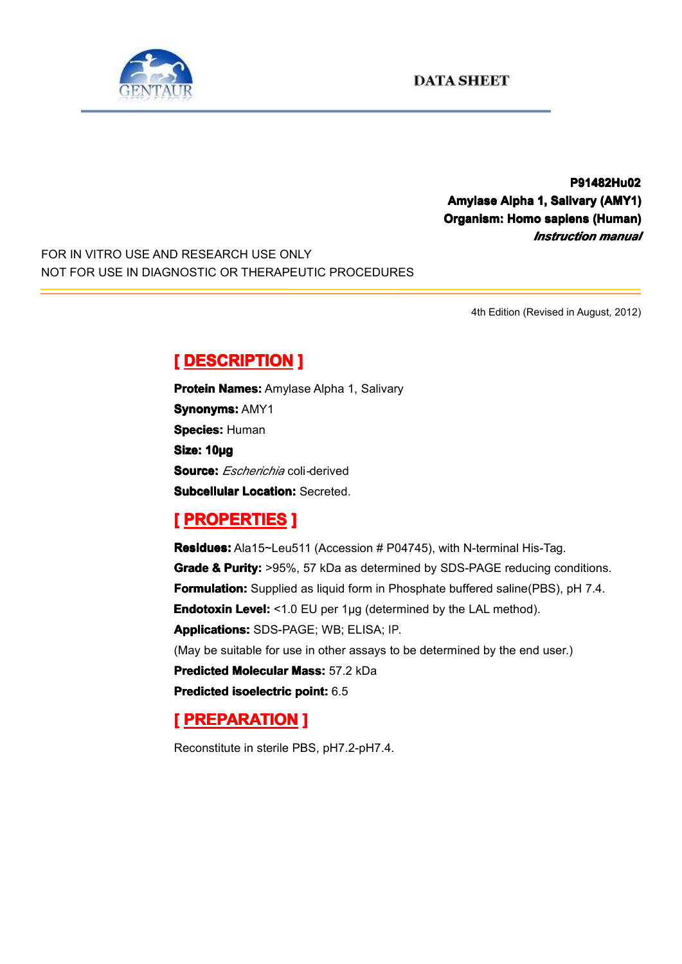

**P91482Hu02 P91482Hu02 Amylase Alpha 1, Salivary (AMY1) Organism: Homo sapiens (Human) (Human)** *Instruction manual*

FOR IN VITRO USE AND RESEARCH USE ONLY NOT FOR USE IN DIAGNOSTIC OR THERAPEUTIC PROCEDURES

4th Edition (Revised in August, 2012)

# $[$  **DESCRIPTION** ]

**Protein Names:** Amylase Alpha 1, Salivary **Synonyms: AMY1 Species: Human Size: 10µg Source:** *Escherichia* coli*-*derived **Subcellular Location: Secreted.** 

## **[ PROPERTIES ROPERTIES ROPERTIES]**

**Residues:** Ala15~Leu511 (Accession # P04745), with N-terminal His-Tag. **Grade & Purity:** >95%, 57 kDa as determined by SDS-PAGE reducing conditions. **Formulation:** Supplied as liquid form in Phosphate buffered saline(PBS), pH 7.4. **Endotoxin Level:** <1.0 EU per 1µg (determined by the LAL method). **Applications: Applications:**SDS-PAGE; WB; ELISA; IP. (May be suitable for use in other assays to be determined by the end user.) **Predicted Molecular Mass: 57.2 kDa Predicted [isoelectric](app:ds:  isoelectric point) isoelectric point:** 6.5

## **[ PREPARATION PREPARATION PREPARATION]**

Reconstitute in sterile PBS, pH7.2-pH7.4.